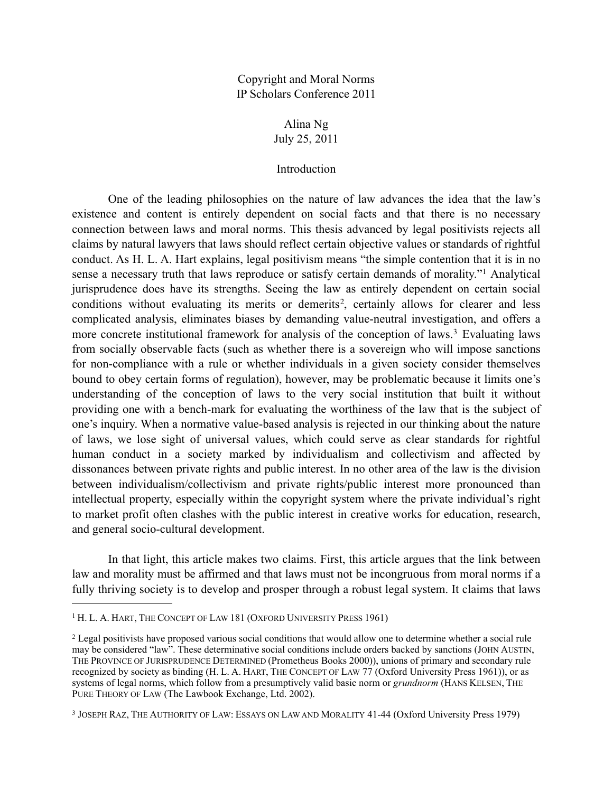Copyright and Moral Norms IP Scholars Conference 2011

> Alina Ng July 25, 2011

## Introduction

 One of the leading philosophies on the nature of law advances the idea that the law's existence and content is entirely dependent on social facts and that there is no necessary connection between laws and moral norms. This thesis advanced by legal positivists rejects all claims by natural lawyers that laws should reflect certain objective values or standards of rightful conduct. As H. L. A. Hart explains, legal positivism means "the simple contention that it is in no sense a necessary truth that laws reproduce or satisfy certain demands of morality."[1](#page-0-0) Analytical jurisprudence does have its strengths. Seeing the law as entirely dependent on certain social conditions without evaluating its merits or demerits<sup>2</sup>, certainly allows for clearer and less complicated analysis, eliminates biases by demanding value-neutral investigation, and offers a more concrete institutional framework for analysis of the conception of laws.<sup>[3](#page-0-2)</sup> Evaluating laws from socially observable facts (such as whether there is a sovereign who will impose sanctions for non-compliance with a rule or whether individuals in a given society consider themselves bound to obey certain forms of regulation), however, may be problematic because it limits one's understanding of the conception of laws to the very social institution that built it without providing one with a bench-mark for evaluating the worthiness of the law that is the subject of one's inquiry. When a normative value-based analysis is rejected in our thinking about the nature of laws, we lose sight of universal values, which could serve as clear standards for rightful human conduct in a society marked by individualism and collectivism and affected by dissonances between private rights and public interest. In no other area of the law is the division between individualism/collectivism and private rights/public interest more pronounced than intellectual property, especially within the copyright system where the private individual's right to market profit often clashes with the public interest in creative works for education, research, and general socio-cultural development.

 In that light, this article makes two claims. First, this article argues that the link between law and morality must be affirmed and that laws must not be incongruous from moral norms if a fully thriving society is to develop and prosper through a robust legal system. It claims that laws

<span id="page-0-0"></span><sup>&</sup>lt;sup>1</sup> H. L. A. HART, THE CONCEPT OF LAW 181 (OXFORD UNIVERSITY PRESS 1961)

<span id="page-0-1"></span><sup>2</sup> Legal positivists have proposed various social conditions that would allow one to determine whether a social rule may be considered "law". These determinative social conditions include orders backed by sanctions (JOHN AUSTIN, THE PROVINCE OF JURISPRUDENCE DETERMINED (Prometheus Books 2000)), unions of primary and secondary rule recognized by society as binding (H. L. A. HART, THE CONCEPT OF LAW 77 (Oxford University Press 1961)), or as systems of legal norms, which follow from a presumptively valid basic norm or *grundnorm* (HANS KELSEN, THE PURE THEORY OF LAW (The Lawbook Exchange, Ltd. 2002).

<span id="page-0-2"></span><sup>3</sup> JOSEPH RAZ, THE AUTHORITY OF LAW: ESSAYS ON LAW AND MORALITY 41-44 (Oxford University Press 1979)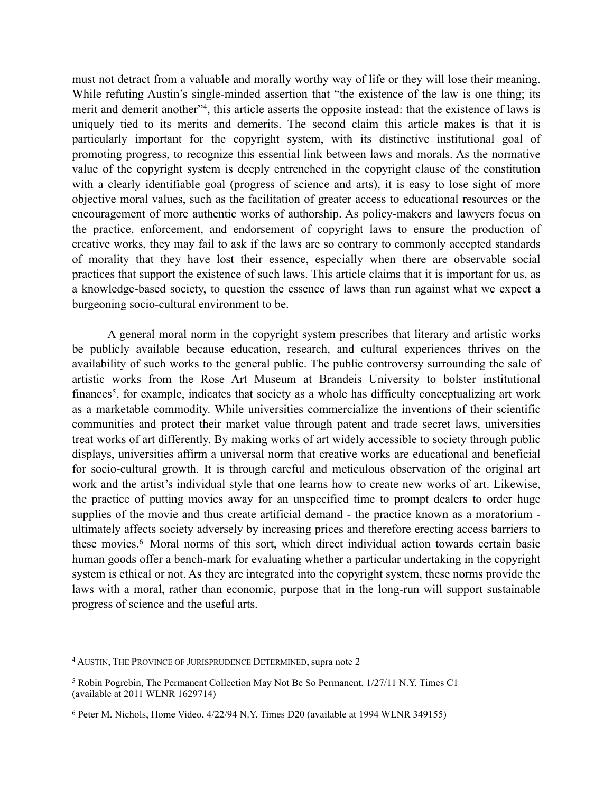must not detract from a valuable and morally worthy way of life or they will lose their meaning. While refuting Austin's single-minded assertion that "the existence of the law is one thing; its merit and demerit another"[4,](#page-1-0) this article asserts the opposite instead: that the existence of laws is uniquely tied to its merits and demerits. The second claim this article makes is that it is particularly important for the copyright system, with its distinctive institutional goal of promoting progress, to recognize this essential link between laws and morals. As the normative value of the copyright system is deeply entrenched in the copyright clause of the constitution with a clearly identifiable goal (progress of science and arts), it is easy to lose sight of more objective moral values, such as the facilitation of greater access to educational resources or the encouragement of more authentic works of authorship. As policy-makers and lawyers focus on the practice, enforcement, and endorsement of copyright laws to ensure the production of creative works, they may fail to ask if the laws are so contrary to commonly accepted standards of morality that they have lost their essence, especially when there are observable social practices that support the existence of such laws. This article claims that it is important for us, as a knowledge-based society, to question the essence of laws than run against what we expect a burgeoning socio-cultural environment to be.

 A general moral norm in the copyright system prescribes that literary and artistic works be publicly available because education, research, and cultural experiences thrives on the availability of such works to the general public. The public controversy surrounding the sale of artistic works from the Rose Art Museum at Brandeis University to bolster institutional finances<sup>[5](#page-1-1)</sup>, for example, indicates that society as a whole has difficulty conceptualizing art work as a marketable commodity. While universities commercialize the inventions of their scientific communities and protect their market value through patent and trade secret laws, universities treat works of art differently. By making works of art widely accessible to society through public displays, universities affirm a universal norm that creative works are educational and beneficial for socio-cultural growth. It is through careful and meticulous observation of the original art work and the artist's individual style that one learns how to create new works of art. Likewise, the practice of putting movies away for an unspecified time to prompt dealers to order huge supplies of the movie and thus create artificial demand - the practice known as a moratorium ultimately affects society adversely by increasing prices and therefore erecting access barriers to these movies.<sup>6</sup> Moral norms of this sort, which direct individual action towards certain basic human goods offer a bench-mark for evaluating whether a particular undertaking in the copyright system is ethical or not. As they are integrated into the copyright system, these norms provide the laws with a moral, rather than economic, purpose that in the long-run will support sustainable progress of science and the useful arts.

<span id="page-1-0"></span><sup>4</sup> AUSTIN, THE PROVINCE OF JURISPRUDENCE DETERMINED, supra note 2

<span id="page-1-1"></span><sup>5</sup> Robin Pogrebin, The Permanent Collection May Not Be So Permanent, 1/27/11 N.Y. Times C1 (available at 2011 WLNR 1629714)

<span id="page-1-2"></span><sup>6</sup> Peter M. Nichols, Home Video, 4/22/94 N.Y. Times D20 (available at 1994 WLNR 349155)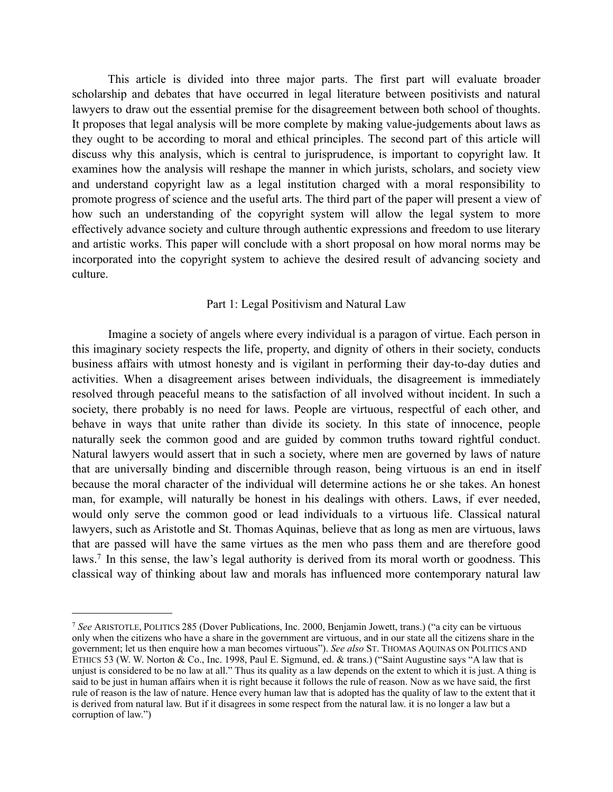This article is divided into three major parts. The first part will evaluate broader scholarship and debates that have occurred in legal literature between positivists and natural lawyers to draw out the essential premise for the disagreement between both school of thoughts. It proposes that legal analysis will be more complete by making value-judgements about laws as they ought to be according to moral and ethical principles. The second part of this article will discuss why this analysis, which is central to jurisprudence, is important to copyright law. It examines how the analysis will reshape the manner in which jurists, scholars, and society view and understand copyright law as a legal institution charged with a moral responsibility to promote progress of science and the useful arts. The third part of the paper will present a view of how such an understanding of the copyright system will allow the legal system to more effectively advance society and culture through authentic expressions and freedom to use literary and artistic works. This paper will conclude with a short proposal on how moral norms may be incorporated into the copyright system to achieve the desired result of advancing society and culture.

## Part 1: Legal Positivism and Natural Law

 Imagine a society of angels where every individual is a paragon of virtue. Each person in this imaginary society respects the life, property, and dignity of others in their society, conducts business affairs with utmost honesty and is vigilant in performing their day-to-day duties and activities. When a disagreement arises between individuals, the disagreement is immediately resolved through peaceful means to the satisfaction of all involved without incident. In such a society, there probably is no need for laws. People are virtuous, respectful of each other, and behave in ways that unite rather than divide its society. In this state of innocence, people naturally seek the common good and are guided by common truths toward rightful conduct. Natural lawyers would assert that in such a society, where men are governed by laws of nature that are universally binding and discernible through reason, being virtuous is an end in itself because the moral character of the individual will determine actions he or she takes. An honest man, for example, will naturally be honest in his dealings with others. Laws, if ever needed, would only serve the common good or lead individuals to a virtuous life. Classical natural lawyers, such as Aristotle and St. Thomas Aquinas, believe that as long as men are virtuous, laws that are passed will have the same virtues as the men who pass them and are therefore good laws.[7](#page-2-0) In this sense, the law's legal authority is derived from its moral worth or goodness. This classical way of thinking about law and morals has influenced more contemporary natural law

<span id="page-2-0"></span><sup>7</sup> *See* ARISTOTLE, POLITICS 285 (Dover Publications, Inc. 2000, Benjamin Jowett, trans.) ("a city can be virtuous only when the citizens who have a share in the government are virtuous, and in our state all the citizens share in the government; let us then enquire how a man becomes virtuous"). *See also* ST. THOMAS AQUINAS ON POLITICS AND ETHICS 53 (W. W. Norton  $\⊂>8$  Co., Inc. 1998, Paul E. Sigmund, ed.  $\⊂>8$  trans.) ("Saint Augustine says "A law that is unjust is considered to be no law at all." Thus its quality as a law depends on the extent to which it is just. A thing is said to be just in human affairs when it is right because it follows the rule of reason. Now as we have said, the first rule of reason is the law of nature. Hence every human law that is adopted has the quality of law to the extent that it is derived from natural law. But if it disagrees in some respect from the natural law. it is no longer a law but a corruption of law.")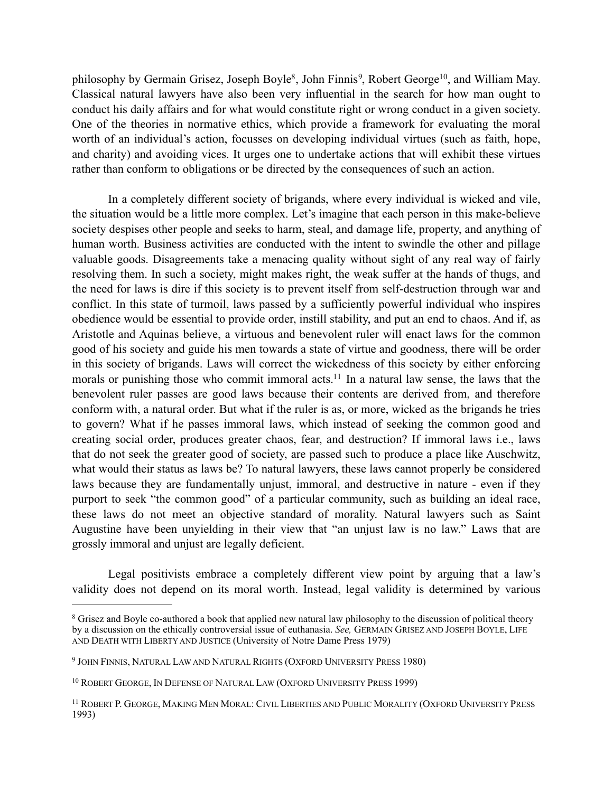philosophy by Germain Grisez, Joseph Boyle<sup>8</sup>, John Finnis<sup>9</sup>, Robert George<sup>10</sup>, and William May. Classical natural lawyers have also been very influential in the search for how man ought to conduct his daily affairs and for what would constitute right or wrong conduct in a given society. One of the theories in normative ethics, which provide a framework for evaluating the moral worth of an individual's action, focusses on developing individual virtues (such as faith, hope, and charity) and avoiding vices. It urges one to undertake actions that will exhibit these virtues rather than conform to obligations or be directed by the consequences of such an action.

 In a completely different society of brigands, where every individual is wicked and vile, the situation would be a little more complex. Let's imagine that each person in this make-believe society despises other people and seeks to harm, steal, and damage life, property, and anything of human worth. Business activities are conducted with the intent to swindle the other and pillage valuable goods. Disagreements take a menacing quality without sight of any real way of fairly resolving them. In such a society, might makes right, the weak suffer at the hands of thugs, and the need for laws is dire if this society is to prevent itself from self-destruction through war and conflict. In this state of turmoil, laws passed by a sufficiently powerful individual who inspires obedience would be essential to provide order, instill stability, and put an end to chaos. And if, as Aristotle and Aquinas believe, a virtuous and benevolent ruler will enact laws for the common good of his society and guide his men towards a state of virtue and goodness, there will be order in this society of brigands. Laws will correct the wickedness of this society by either enforcing morals or punishing those who commit immoral acts.<sup>11</sup> In a natural law sense, the laws that the benevolent ruler passes are good laws because their contents are derived from, and therefore conform with, a natural order. But what if the ruler is as, or more, wicked as the brigands he tries to govern? What if he passes immoral laws, which instead of seeking the common good and creating social order, produces greater chaos, fear, and destruction? If immoral laws i.e., laws that do not seek the greater good of society, are passed such to produce a place like Auschwitz, what would their status as laws be? To natural lawyers, these laws cannot properly be considered laws because they are fundamentally unjust, immoral, and destructive in nature - even if they purport to seek "the common good" of a particular community, such as building an ideal race, these laws do not meet an objective standard of morality. Natural lawyers such as Saint Augustine have been unyielding in their view that "an unjust law is no law." Laws that are grossly immoral and unjust are legally deficient.

 Legal positivists embrace a completely different view point by arguing that a law's validity does not depend on its moral worth. Instead, legal validity is determined by various

<span id="page-3-0"></span><sup>8</sup> Grisez and Boyle co-authored a book that applied new natural law philosophy to the discussion of political theory by a discussion on the ethically controversial issue of euthanasia. *See,* GERMAIN GRISEZ AND JOSEPH BOYLE, LIFE AND DEATH WITH LIBERTY AND JUSTICE (University of Notre Dame Press 1979)

<span id="page-3-1"></span><sup>9</sup> JOHN FINNIS, NATURAL LAW AND NATURAL RIGHTS (OXFORD UNIVERSITY PRESS 1980)

<span id="page-3-2"></span><sup>&</sup>lt;sup>10</sup> ROBERT GEORGE, IN DEFENSE OF NATURAL LAW (OXFORD UNIVERSITY PRESS 1999)

<span id="page-3-3"></span><sup>11</sup> ROBERT P. GEORGE, MAKING MEN MORAL: CIVIL LIBERTIES AND PUBLIC MORALITY (OXFORD UNIVERSITY PRESS 1993)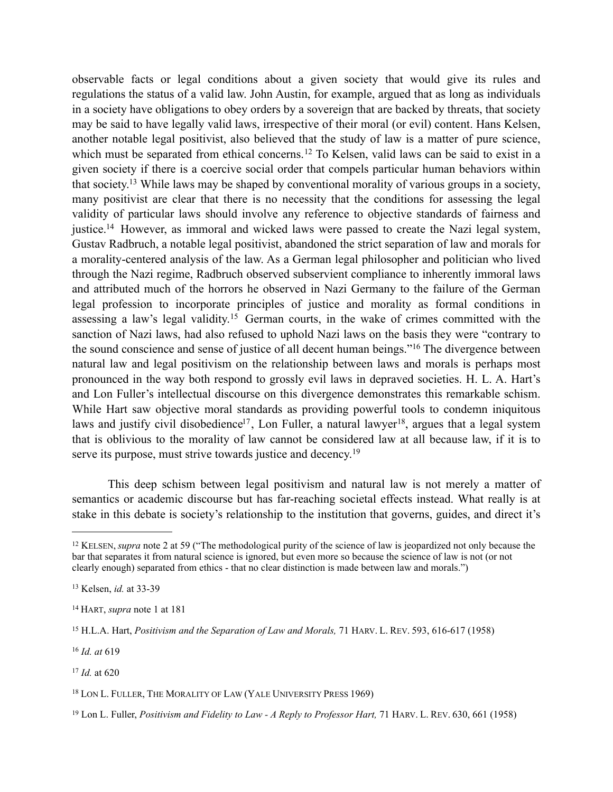observable facts or legal conditions about a given society that would give its rules and regulations the status of a valid law. John Austin, for example, argued that as long as individuals in a society have obligations to obey orders by a sovereign that are backed by threats, that society may be said to have legally valid laws, irrespective of their moral (or evil) content. Hans Kelsen, another notable legal positivist, also believed that the study of law is a matter of pure science, which must be separated from ethical concerns.<sup>[12](#page-4-0)</sup> To Kelsen, valid laws can be said to exist in a given society if there is a coercive social order that compels particular human behaviors within that society[.13](#page-4-1) While laws may be shaped by conventional morality of various groups in a society, many positivist are clear that there is no necessity that the conditions for assessing the legal validity of particular laws should involve any reference to objective standards of fairness and justice[.14](#page-4-2) However, as immoral and wicked laws were passed to create the Nazi legal system, Gustav Radbruch, a notable legal positivist, abandoned the strict separation of law and morals for a morality-centered analysis of the law. As a German legal philosopher and politician who lived through the Nazi regime, Radbruch observed subservient compliance to inherently immoral laws and attributed much of the horrors he observed in Nazi Germany to the failure of the German legal profession to incorporate principles of justice and morality as formal conditions in assessing a law's legal validity.[15](#page-4-3) German courts, in the wake of crimes committed with the sanction of Nazi laws, had also refused to uphold Nazi laws on the basis they were "contrary to the sound conscience and sense of justice of all decent human beings."[16](#page-4-4) The divergence between natural law and legal positivism on the relationship between laws and morals is perhaps most pronounced in the way both respond to grossly evil laws in depraved societies. H. L. A. Hart's and Lon Fuller's intellectual discourse on this divergence demonstrates this remarkable schism. While Hart saw objective moral standards as providing powerful tools to condemn iniquitous laws and justify civil disobedience<sup>17</sup>, Lon Fuller, a natural lawyer<sup>18</sup>, argues that a legal system that is oblivious to the morality of law cannot be considered law at all because law, if it is to serve its purpose, must strive towards justice and decency.<sup>[19](#page-4-7)</sup>

 This deep schism between legal positivism and natural law is not merely a matter of semantics or academic discourse but has far-reaching societal effects instead. What really is at stake in this debate is society's relationship to the institution that governs, guides, and direct it's

<span id="page-4-4"></span><sup>16</sup> *Id. at* 619

<span id="page-4-0"></span><sup>&</sup>lt;sup>12</sup> KELSEN, *supra* note 2 at 59 ("The methodological purity of the science of law is jeopardized not only because the bar that separates it from natural science is ignored, but even more so because the science of law is not (or not clearly enough) separated from ethics - that no clear distinction is made between law and morals.")

<span id="page-4-1"></span><sup>13</sup> Kelsen, *id.* at 33-39

<span id="page-4-2"></span><sup>14</sup> HART, *supra* note 1 at 181

<span id="page-4-3"></span><sup>15</sup> H.L.A. Hart, *Positivism and the Separation of Law and Morals,* 71 HARV. L. REV. 593, 616-617 (1958)

<span id="page-4-5"></span><sup>17</sup> *Id.* at 620

<span id="page-4-6"></span><sup>&</sup>lt;sup>18</sup> LON L. FULLER, THE MORALITY OF LAW (YALE UNIVERSITY PRESS 1969)

<span id="page-4-7"></span><sup>19</sup> Lon L. Fuller, *Positivism and Fidelity to Law - A Reply to Professor Hart,* 71 HARV. L. REV. 630, 661 (1958)